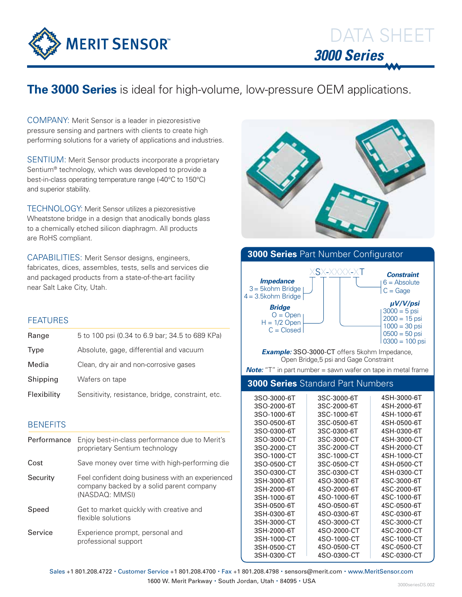

## **The 3000 Series** is ideal for high-volume, low-pressure OEM applications.

Company: Merit Sensor is a leader in piezoresistive pressure sensing and partners with clients to create high performing solutions for a variety of applications and industries.

SENTIUM: Merit Sensor products incorporate a proprietary Sentium® technology, which was developed to provide a best-in-class operating temperature range (-40°C to 150°C) and superior stability.

Technology: Merit Sensor utilizes a piezoresistive Wheatstone bridge in a design that anodically bonds glass to a chemically etched silicon diaphragm. All products are RoHS compliant.

CAPABILITIES: Merit Sensor designs, engineers, fabricates, dices, assembles, tests, sells and services die and packaged products from a state-of-the-art facility near Salt Lake City, Utah.

## **FEATURES**

| Range       | 5 to 100 psi (0.34 to 6.9 bar; 34.5 to 689 KPa)   |
|-------------|---------------------------------------------------|
| <b>Type</b> | Absolute, gage, differential and vacuum           |
| Media       | Clean, dry air and non-corrosive gases            |
| Shipping    | Wafers on tape                                    |
| Flexibility | Sensitivity, resistance, bridge, constraint, etc. |

## **BENEFITS**

| Performance | Enjoy best-in-class performance due to Merit's<br>proprietary Sentium technology                                |
|-------------|-----------------------------------------------------------------------------------------------------------------|
| Cost        | Save money over time with high-performing die                                                                   |
| Security    | Feel confident doing business with an experienced<br>company backed by a solid parent company<br>(NASDAQ: MMSI) |
| Speed       | Get to market quickly with creative and<br>flexible solutions                                                   |
| Service     | Experience prompt, personal and<br>professional support                                                         |





Sales +1 801.208.4722 · Customer Service +1 801.208.4700 · Fax +1 801.208.4798 · sensors@merit.com · www.MeritSensor.com

1600 W. Merit Parkway · South Jordan, Utah · 84095 · USA